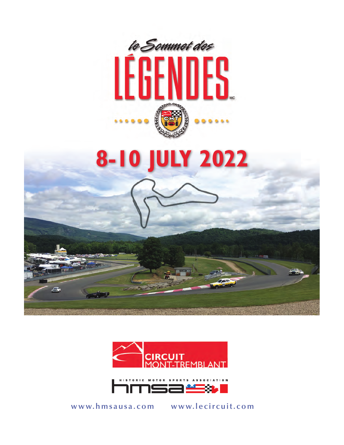





**www.hmsausa.com www.lecircuit.com**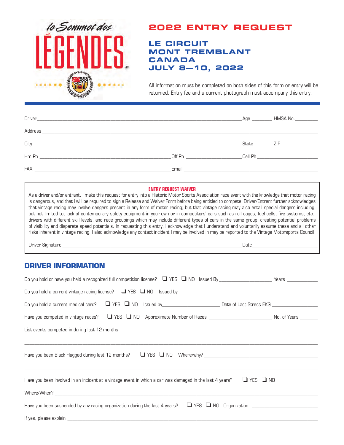

# **2022 ENTRY REQUEST**

# **LE CIRCUIT MONT TREMBLANT CANADA JULY 8—10, 2022**

All information must be completed on both sides of this form or entry will be returned. Entry fee and a current photograph must accompany this entry.

|                                                                                                                                                                                                                                |                                                                                                                                                                                                                                | Age | HMSA No.__________ |
|--------------------------------------------------------------------------------------------------------------------------------------------------------------------------------------------------------------------------------|--------------------------------------------------------------------------------------------------------------------------------------------------------------------------------------------------------------------------------|-----|--------------------|
|                                                                                                                                                                                                                                |                                                                                                                                                                                                                                |     |                    |
| City experience and the contract of the contract of the contract of the contract of the contract of the contract of the contract of the contract of the contract of the contract of the contract of the contract of the contra |                                                                                                                                                                                                                                |     | State ZIP          |
|                                                                                                                                                                                                                                | Off Phenometers and the control of the control of the control of the control of the control of the control of the control of the control of the control of the control of the control of the control of the control of the con |     |                    |
| FAX <b>EXECUTIVE EXECUTIVE EXECUTIVE EXECUTIVE EXECUTIVE EXECUTIVE EXECUTIVE EXECUTIVE EXECUTIVE EXECUTIVE EXECUTIVE</b>                                                                                                       | Email and the contract of the contract of the contract of the contract of the contract of the contract of the                                                                                                                  |     |                    |

#### **ENTRY REQUEST WAIVER**

As a driver and/or entrant, I make this request for entry into a Historic Motor Sports Association race event with the knowledge that motor racing is dangerous, and that I will be required to sign a Release and Waiver Form before being entitled to compete. Driver/Entrant further acknowledges that vintage racing may involve dangers present in any form of motor racing; but that vintage racing may also entail special dangers including, but not limited to, lack of contemporary safety equipment in your own or in competitors' cars such as roll cages, fuel cells, fire systems, etc., drivers with different skill levels, and race groupings which may include different types of cars in the same group, creating potential problems of visibility and disparate speed potentials. In requesting this entry, I acknowledge that I understand and voluntarily assume these and all other risks inherent in vintage racing. I also acknowledge any contact incident I may be involved in may be reported to the Vintage Motorsports Council.

Driver Signature **Example 20** and the set of the set of the set of the set of the set of the set of the set of the set of the set of the set of the set of the set of the set of the set of the set of the set of the set of t

# **DRIVER INFORMATION**

| Have you been involved in an incident at a vintage event in which a car was damaged in the last 4 years? $\Box$ YES $\Box$ NO |  |  |  |
|-------------------------------------------------------------------------------------------------------------------------------|--|--|--|
|                                                                                                                               |  |  |  |
| Have you been suspended by any racing organization during the last 4 years? $\Box$ YES $\Box$ NO Organization $\Box$          |  |  |  |
|                                                                                                                               |  |  |  |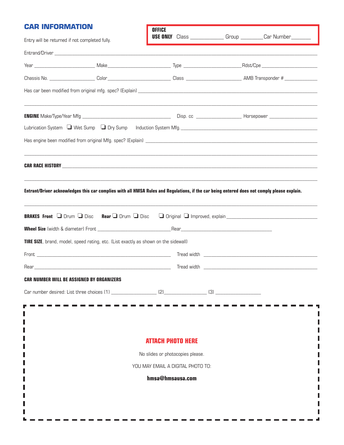# **D** INFORMATION

| <u>UAK INFUKIVIAI IUN</u>                                                                                                                                                                | <b>OFFICE</b>                     |                                                                             |
|------------------------------------------------------------------------------------------------------------------------------------------------------------------------------------------|-----------------------------------|-----------------------------------------------------------------------------|
| Entry will be returned if not completed fully.                                                                                                                                           |                                   | <b>USE ONLY</b> Class _________________Group __________Car Number__________ |
|                                                                                                                                                                                          |                                   |                                                                             |
|                                                                                                                                                                                          |                                   |                                                                             |
|                                                                                                                                                                                          |                                   |                                                                             |
|                                                                                                                                                                                          |                                   |                                                                             |
|                                                                                                                                                                                          |                                   |                                                                             |
|                                                                                                                                                                                          |                                   |                                                                             |
|                                                                                                                                                                                          |                                   |                                                                             |
|                                                                                                                                                                                          |                                   |                                                                             |
| Entrant/Driver acknowledges this car complies with all HMSA Rules and Regulations, if the car being entered does not comply please explain.                                              |                                   |                                                                             |
|                                                                                                                                                                                          |                                   |                                                                             |
|                                                                                                                                                                                          |                                   |                                                                             |
|                                                                                                                                                                                          |                                   |                                                                             |
|                                                                                                                                                                                          |                                   |                                                                             |
|                                                                                                                                                                                          |                                   |                                                                             |
|                                                                                                                                                                                          |                                   |                                                                             |
|                                                                                                                                                                                          |                                   |                                                                             |
|                                                                                                                                                                                          |                                   |                                                                             |
|                                                                                                                                                                                          |                                   |                                                                             |
|                                                                                                                                                                                          |                                   |                                                                             |
|                                                                                                                                                                                          |                                   |                                                                             |
|                                                                                                                                                                                          | <b>ATTACH PHOTO HERE</b>          |                                                                             |
|                                                                                                                                                                                          | No slides or photocopies please.  |                                                                             |
| BRAKES Front I Drum I Disc Rear I Drum I Disc<br>TIRE SIZE, brand, model, speed rating, etc. (List exactly as shown on the sidewall)<br><b>CAR NUMBER WILL BE ASSIGNED BY ORGANIZERS</b> | YOU MAY EMAIL A DIGITAL PHOTO TO: |                                                                             |